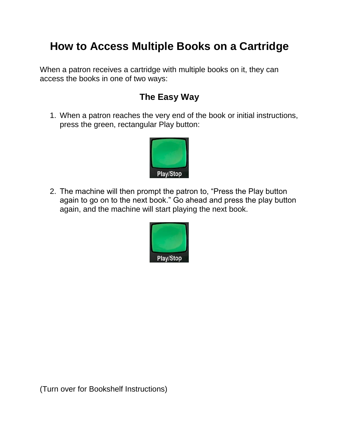## **How to Access Multiple Books on a Cartridge**

When a patron receives a cartridge with multiple books on it, they can access the books in one of two ways:

## **The Easy Way**

1. When a patron reaches the very end of the book or initial instructions, press the green, rectangular Play button:



2. The machine will then prompt the patron to, "Press the Play button again to go on to the next book." Go ahead and press the play button again, and the machine will start playing the next book.